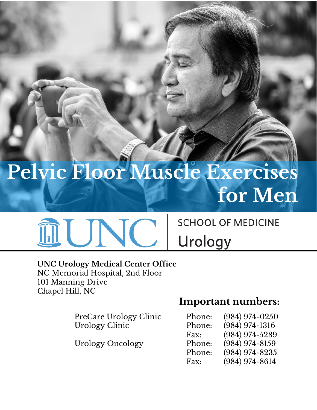# **Pelvic Floor Muscle Exercises for Men**



### **SCHOOL OF MEDICINE**

Urology

#### **UNC Urology Medical Center Office** NC Memorial Hospital, 2nd Floor 101 Manning Drive Chapel Hill, NC

PreCare Urology Clinic Urology Clinic

Urology Oncology

## **Important numbers:**

| Phone: | (984) 974-0250   |
|--------|------------------|
| Phone: | $(984)$ 974-1316 |
| Fax:   | (984) 974-5289   |
| Phone: | $(984)$ 974-8159 |
| Phone: | $(984)$ 974-8235 |
| Fax:   | (984) 974-8614   |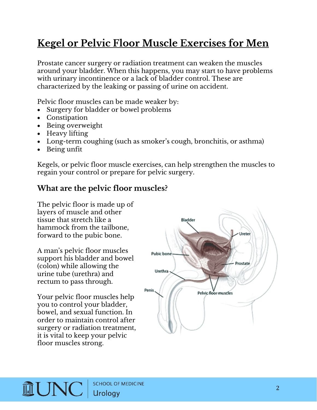## **Kegel or Pelvic Floor Muscle Exercises for Men**

Prostate cancer surgery or radiation treatment can weaken the muscles around your bladder. When this happens, you may start to have problems with urinary incontinence or a lack of bladder control. These are characterized by the leaking or passing of urine on accident.

Pelvic floor muscles can be made weaker by:

- Surgery for bladder or bowel problems
- Constipation
- Being overweight
- Heavy lifting
- Long-term coughing (such as smoker's cough, bronchitis, or asthma)
- Being unfit

Kegels, or pelvic floor muscle exercises, can help strengthen the muscles to regain your control or prepare for pelvic surgery.

#### **What are the pelvic floor muscles?**

The pelvic floor is made up of layers of muscle and other tissue that stretch like a hammock from the tailbone, forward to the pubic bone.

A man's pelvic floor muscles support his bladder and bowel (colon) while allowing the urine tube (urethra) and rectum to pass through.

Your pelvic floor muscles help you to control your bladder, bowel, and sexual function. In order to maintain control after surgery or radiation treatment, it is vital to keep your pelvic floor muscles strong.



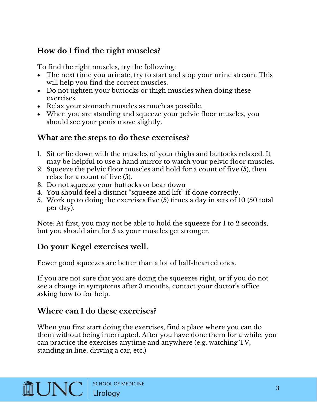#### **How do I find the right muscles?**

To find the right muscles, try the following:

- The next time you urinate, try to start and stop your urine stream. This will help you find the correct muscles.
- Do not tighten your buttocks or thigh muscles when doing these exercises.
- Relax your stomach muscles as much as possible.
- When you are standing and squeeze your pelvic floor muscles, you should see your penis move slightly.

#### **What are the steps to do these exercises?**

- 1. Sit or lie down with the muscles of your thighs and buttocks relaxed. It may be helpful to use a hand mirror to watch your pelvic floor muscles.
- 2. Squeeze the pelvic floor muscles and hold for a count of five (5), then relax for a count of five (5).
- 3. Do not squeeze your buttocks or bear down
- 4. You should feel a distinct "squeeze and lift" if done correctly.
- 5. Work up to doing the exercises five (5) times a day in sets of 10 (50 total per day).

Note: At first, you may not be able to hold the squeeze for 1 to 2 seconds, but you should aim for 5 as your muscles get stronger.

#### **Do your Kegel exercises well.**

Fewer good squeezes are better than a lot of half-hearted ones.

If you are not sure that you are doing the squeezes right, or if you do not see a change in symptoms after 3 months, contact your doctor's office asking how to for help.

#### **Where can I do these exercises?**

When you first start doing the exercises, find a place where you can do them without being interrupted. After you have done them for a while, you can practice the exercises anytime and anywhere (e.g. watching TV, standing in line, driving a car, etc.)